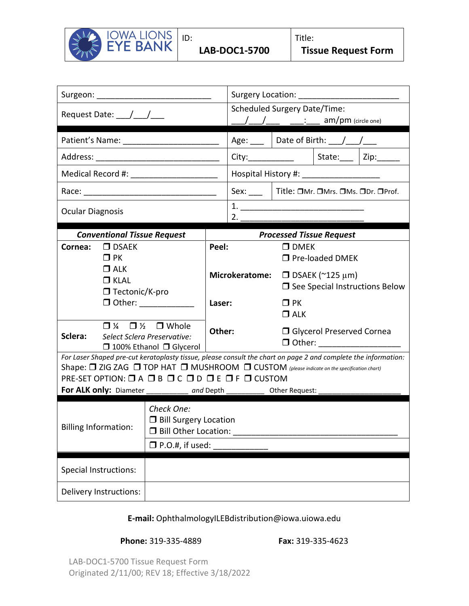

|                                                                                                                                                                                                                                                                                                                                                                                                                                   | Request Date: $\frac{1}{\sqrt{2}}$                 |                                                                                                                    |        | <b>Scheduled Surgery Date/Time:</b><br>$am/m$ (circle one) |                                                                                                        |                                                                     |  |  |  |  |  |  |  |
|-----------------------------------------------------------------------------------------------------------------------------------------------------------------------------------------------------------------------------------------------------------------------------------------------------------------------------------------------------------------------------------------------------------------------------------|----------------------------------------------------|--------------------------------------------------------------------------------------------------------------------|--------|------------------------------------------------------------|--------------------------------------------------------------------------------------------------------|---------------------------------------------------------------------|--|--|--|--|--|--|--|
|                                                                                                                                                                                                                                                                                                                                                                                                                                   |                                                    |                                                                                                                    |        |                                                            | Age: $\Box$ Date of Birth: $\Box / \Box / \Box$                                                        |                                                                     |  |  |  |  |  |  |  |
|                                                                                                                                                                                                                                                                                                                                                                                                                                   |                                                    |                                                                                                                    |        |                                                            |                                                                                                        | City:________________________   State:_______   Zip:_____           |  |  |  |  |  |  |  |
|                                                                                                                                                                                                                                                                                                                                                                                                                                   |                                                    | Medical Record #: ______________________                                                                           |        | Hospital History #: _____________________                  |                                                                                                        |                                                                     |  |  |  |  |  |  |  |
|                                                                                                                                                                                                                                                                                                                                                                                                                                   |                                                    |                                                                                                                    |        |                                                            |                                                                                                        | Sex: ____   Title: OMr. OMrs. OMs. ODr. OProf.                      |  |  |  |  |  |  |  |
| <b>Ocular Diagnosis</b>                                                                                                                                                                                                                                                                                                                                                                                                           |                                                    |                                                                                                                    |        | 2.                                                         |                                                                                                        |                                                                     |  |  |  |  |  |  |  |
|                                                                                                                                                                                                                                                                                                                                                                                                                                   | <b>Conventional Tissue Request</b>                 |                                                                                                                    |        | <b>Processed Tissue Request</b>                            |                                                                                                        |                                                                     |  |  |  |  |  |  |  |
| Cornea:                                                                                                                                                                                                                                                                                                                                                                                                                           | $\Box$ DSAEK<br>$\Box$ PK                          |                                                                                                                    | Peel:  |                                                            | $\Box$ DMEK<br>□ Pre-loaded DMEK<br>$\Box$ DSAEK (~125 µm)<br>$\square$ See Special Instructions Below |                                                                     |  |  |  |  |  |  |  |
|                                                                                                                                                                                                                                                                                                                                                                                                                                   | $\Box$ ALK<br>$\Box$ KLAL<br>$\Box$ Tectonic/K-pro |                                                                                                                    |        | <b>Microkeratome:</b>                                      |                                                                                                        |                                                                     |  |  |  |  |  |  |  |
|                                                                                                                                                                                                                                                                                                                                                                                                                                   |                                                    |                                                                                                                    | Laser: |                                                            | $\Box$ PK<br>$\Box$ ALK                                                                                |                                                                     |  |  |  |  |  |  |  |
| Sclera:                                                                                                                                                                                                                                                                                                                                                                                                                           |                                                    | $\Box$ $\frac{1}{4}$ $\Box$ $\frac{1}{2}$ $\Box$ Whole<br>Select Sclera Preservative:<br>□ 100% Ethanol □ Glycerol | Other: |                                                            |                                                                                                        | <b>I</b> Glycerol Preserved Cornea<br>□ Other: ____________________ |  |  |  |  |  |  |  |
| For Laser Shaped pre-cut keratoplasty tissue, please consult the chart on page 2 and complete the information:<br>Shape: <sup>1</sup> ZIG ZAG <sup>1</sup> TOP HAT <sup>1</sup> MUSHROOM <sup>1</sup> CUSTOM (please indicate on the specification chart)<br>PRE-SET OPTION: $\Box$ A $\Box$ B $\Box$ C $\Box$ D $\Box$ E $\Box$ F $\Box$ CUSTOM<br>For ALK only: Diameter _____________ and Depth _____________ Other Request: _ |                                                    |                                                                                                                    |        |                                                            |                                                                                                        |                                                                     |  |  |  |  |  |  |  |
| Check One:<br><b>D</b> Bill Surgery Location<br><b>Billing Information:</b><br><b>D</b> Bill Other Location:<br>$\square$ P.O.#, if used:                                                                                                                                                                                                                                                                                         |                                                    |                                                                                                                    |        |                                                            |                                                                                                        |                                                                     |  |  |  |  |  |  |  |
|                                                                                                                                                                                                                                                                                                                                                                                                                                   | <b>Special Instructions:</b>                       |                                                                                                                    |        |                                                            |                                                                                                        |                                                                     |  |  |  |  |  |  |  |
|                                                                                                                                                                                                                                                                                                                                                                                                                                   | Delivery Instructions:                             |                                                                                                                    |        |                                                            |                                                                                                        |                                                                     |  |  |  |  |  |  |  |

## **E-mail:** [OphthalmologyILEBdistribution@iowa.uiowa.edu](mailto:OphthalmologyILEBdistribution@healthcare.uiowa.edu)

## **Phone:** 319-335-4889 **Fax:** 319-335-4623